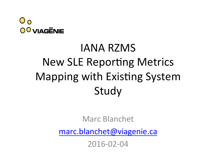

# IANA RZMS **New SLE Reporting Metrics** Mapping with Existing System Study

Marc Blanchet 

marc.blanchet@viagenie.ca

2016-02-04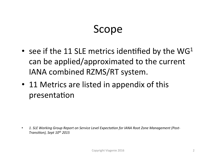#### Scope

- see if the 11 SLE metrics identified by the  $WG<sup>1</sup>$ can be applied/approximated to the current IANA combined RZMS/RT system.
- 11 Metrics are listed in appendix of this presentation

• 1. SLE Working Group Report on Service Level Expectation for IANA Root Zone Management (Post-*Transition), Sept 10<sup>th</sup> 2015*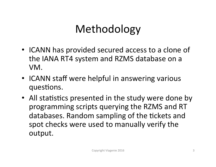## Methodology

- ICANN has provided secured access to a clone of the IANA RT4 system and RZMS database on a VM.
- ICANN staff were helpful in answering various questions.
- All statistics presented in the study were done by programming scripts querying the RZMS and RT databases. Random sampling of the tickets and spot checks were used to manually verify the output.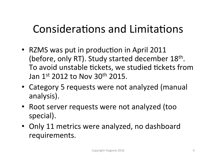## Considerations and Limitations

- RZMS was put in production in April 2011 (before, only RT). Study started december 18<sup>th</sup>. To avoid unstable tickets, we studied tickets from Jan  $1^{st}$  2012 to Nov 30<sup>th</sup> 2015.
- Category 5 requests were not analyzed (manual analysis).
- Root server requests were not analyzed (too special).
- Only 11 metrics were analyzed, no dashboard requirements.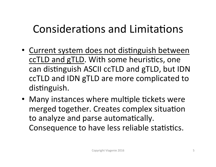## Considerations and Limitations

- Current system does not distinguish between ccTLD and gTLD. With some heuristics, one can distinguish ASCII ccTLD and gTLD, but IDN ccTLD and IDN gTLD are more complicated to distinguish.
- Many instances where multiple tickets were merged together. Creates complex situation to analyze and parse automatically. Consequence to have less reliable statistics.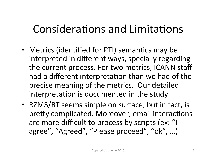#### Considerations and Limitations

- Metrics (identified for PTI) semantics may be interpreted in different ways, specially regarding the current process. For two metrics, ICANN staff had a different interpretation than we had of the precise meaning of the metrics. Our detailed interpretation is documented in the study.
- RZMS/RT seems simple on surface, but in fact, is pretty complicated. Moreover, email interactions are more difficult to process by scripts (ex: "I agree", "Agreed", "Please proceed", "ok", ...)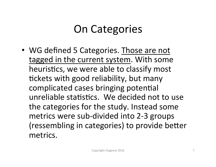## **On Categories**

• WG defined 5 Categories. Those are not tagged in the current system. With some heuristics, we were able to classify most tickets with good reliability, but many complicated cases bringing potential unreliable statistics. We decided not to use the categories for the study. Instead some metrics were sub-divided into 2-3 groups (ressembling in categories) to provide better metrics.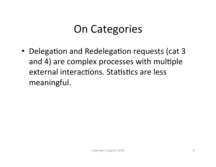#### **On Categories**

• Delegation and Redelegation requests (cat 3 and 4) are complex processes with multiple external interactions. Statistics are less meaningful.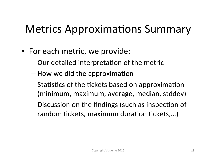## Metrics Approximations Summary

- For each metric, we provide:
	- $-$  Our detailed interpretation of the metric
	- $-$  How we did the approximation
	- $-$  Statistics of the tickets based on approximation (minimum, maximum, average, median, stddev)
	- $-$  Discussion on the findings (such as inspection of random tickets, maximum duration tickets,...)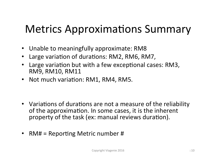## Metrics Approximations Summary

- Unable to meaningfully approximate: RM8
- Large variation of durations: RM2, RM6, RM7,
- Large variation but with a few exceptional cases: RM3, RM9, RM10, RM11
- Not much variation: RM1, RM4, RM5.

- Variations of durations are not a measure of the reliability of the approximation. In some cases, it is the inherent property of the task (ex: manual reviews duration).
- RM# = Reporting Metric number #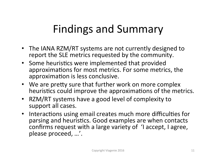## Findings and Summary

- The IANA RZM/RT systems are not currently designed to report the SLE metrics requested by the community.
- Some heuristics were implemented that provided approximations for most metrics. For some metrics, the approximation is less conclusive.
- We are pretty sure that further work on more complex heuristics could improve the approximations of the metrics.
- RZM/RT systems have a good level of complexity to support all cases.
- Interactions using email creates much more difficulties for parsing and heuristics. Good examples are when contacts confirms request with a large variety of 'I accept, I agree, please proceed, ...'.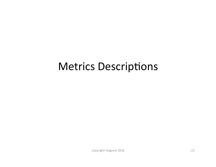#### Metrics Descriptions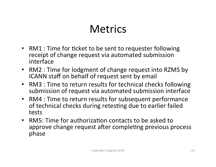#### **Metrics**

- RM1 : Time for ticket to be sent to requester following receipt of change request via automated submission interface
- RM2 : Time for lodgment of change request into RZMS by ICANN staff on behalf of request sent by email
- RM3 : Time to return results for technical checks following submission of request via automated submission interface
- RM4 : Time to return results for subsequent performance of technical checks during retesting due to earlier failed tests
- RM5: Time for authorization contacts to be asked to approve change request after completing previous process phase